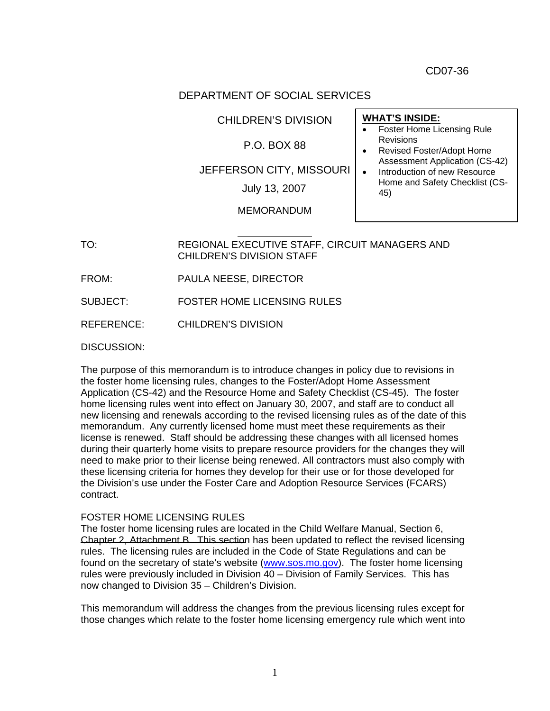CD07-36

## DEPARTMENT OF SOCIAL SERVICES

CHILDREN'S DIVISION

## P.O. BOX 88

JEFFERSON CITY, MISSOURI

July 13, 2007  $\begin{bmatrix} 1 & 1 & 1 \\ 4 & 4 & 5 \end{bmatrix}$ 

MEMORANDUM

# TO: REGIONAL EXECUTIVE STAFF, CIRCUIT MANAGERS AND

CHILDREN'S DIVISION STAFF

FROM: PAULA NEESE, DIRECTOR

SUBJECT: FOSTER HOME LICENSING RULES

REFERENCE: CHILDREN'S DIVISION

#### DISCUSSION:

The purpose of this memorandum is to introduce changes in policy due to revisions in the foster home licensing rules, changes to the Foster/Adopt Home Assessment Application (CS-42) and the Resource Home and Safety Checklist (CS-45). The foster home licensing rules went into effect on January 30, 2007, and staff are to conduct all new licensing and renewals according to the revised licensing rules as of the date of this memorandum. Any currently licensed home must meet these requirements as their license is renewed. Staff should be addressing these changes with all licensed homes during their quarterly home visits to prepare resource providers for the changes they will need to make prior to their license being renewed. All contractors must also comply with these licensing criteria for homes they develop for their use or for those developed for the Division's use under the Foster Care and Adoption Resource Services (FCARS) contract.

#### FOSTER HOME LICENSING RULES

The foster home licensing rules are located in the Child Welfare Manual, Section 6, Chapter 2, Attachment B. This section has been updated to reflect the revised licensing rules. The licensing rules are included in the Code of State Regulations and can be found on the secretary of state's website (www.sos.mo.gov). The foster home licensing rules were previously included in Division 40 – Division of Family Services. This has now changed to Division 35 – Children's Division.

This memorandum will address the changes from the previous licensing rules except for those changes which relate to the foster home licensing emergency rule which went into

• Foster Home Licensing Rule Revisions • Revised Foster/Adopt Home

**WHAT'S INSIDE:**

- Assessment Application (CS-42) • Introduction of new Resource
	- Home and Safety Checklist (CS-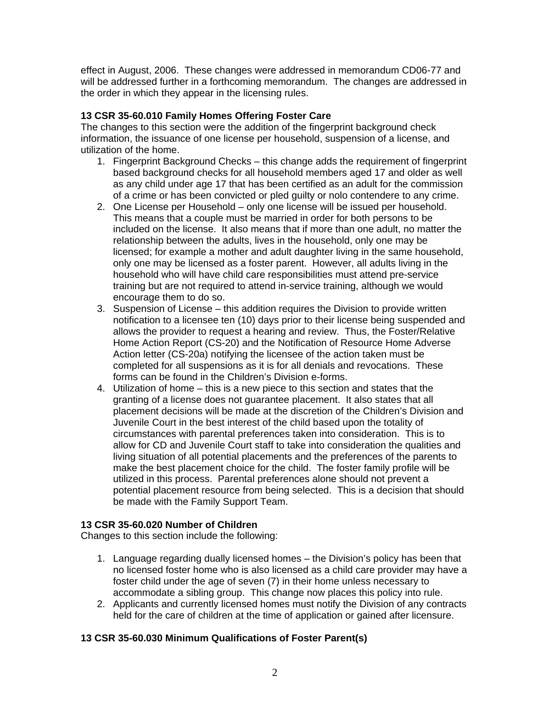effect in August, 2006. These changes were addressed in memorandum CD06-77 and will be addressed further in a forthcoming memorandum. The changes are addressed in the order in which they appear in the licensing rules.

#### **13 CSR 35-60.010 Family Homes Offering Foster Care**

The changes to this section were the addition of the fingerprint background check information, the issuance of one license per household, suspension of a license, and utilization of the home.

- 1. Fingerprint Background Checks this change adds the requirement of fingerprint based background checks for all household members aged 17 and older as well as any child under age 17 that has been certified as an adult for the commission of a crime or has been convicted or pled guilty or nolo contendere to any crime.
- 2. One License per Household only one license will be issued per household. This means that a couple must be married in order for both persons to be included on the license. It also means that if more than one adult, no matter the relationship between the adults, lives in the household, only one may be licensed; for example a mother and adult daughter living in the same household, only one may be licensed as a foster parent. However, all adults living in the household who will have child care responsibilities must attend pre-service training but are not required to attend in-service training, although we would encourage them to do so.
- 3. Suspension of License this addition requires the Division to provide written notification to a licensee ten (10) days prior to their license being suspended and allows the provider to request a hearing and review. Thus, the Foster/Relative Home Action Report (CS-20) and the Notification of Resource Home Adverse Action letter (CS-20a) notifying the licensee of the action taken must be completed for all suspensions as it is for all denials and revocations. These forms can be found in the Children's Division e-forms.
- 4. Utilization of home this is a new piece to this section and states that the granting of a license does not guarantee placement. It also states that all placement decisions will be made at the discretion of the Children's Division and Juvenile Court in the best interest of the child based upon the totality of circumstances with parental preferences taken into consideration. This is to allow for CD and Juvenile Court staff to take into consideration the qualities and living situation of all potential placements and the preferences of the parents to make the best placement choice for the child. The foster family profile will be utilized in this process. Parental preferences alone should not prevent a potential placement resource from being selected. This is a decision that should be made with the Family Support Team.

#### **13 CSR 35-60.020 Number of Children**

Changes to this section include the following:

- 1. Language regarding dually licensed homes the Division's policy has been that no licensed foster home who is also licensed as a child care provider may have a foster child under the age of seven (7) in their home unless necessary to accommodate a sibling group. This change now places this policy into rule.
- 2. Applicants and currently licensed homes must notify the Division of any contracts held for the care of children at the time of application or gained after licensure.

## **13 CSR 35-60.030 Minimum Qualifications of Foster Parent(s)**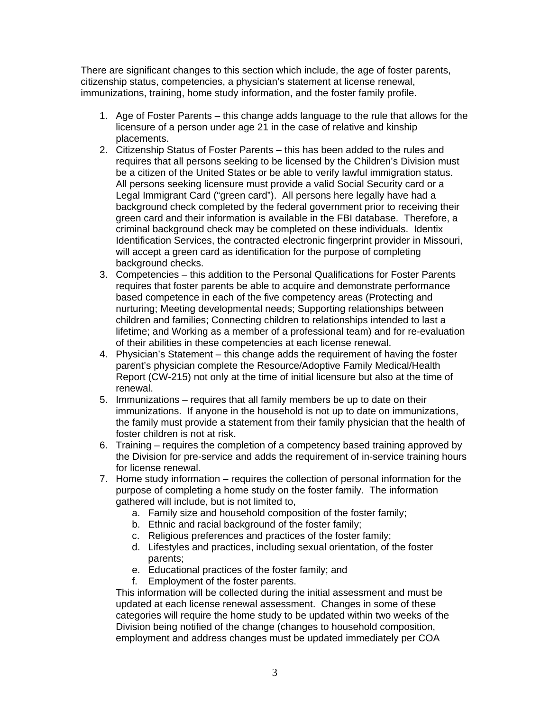There are significant changes to this section which include, the age of foster parents, citizenship status, competencies, a physician's statement at license renewal, immunizations, training, home study information, and the foster family profile.

- 1. Age of Foster Parents this change adds language to the rule that allows for the licensure of a person under age 21 in the case of relative and kinship placements.
- 2. Citizenship Status of Foster Parents this has been added to the rules and requires that all persons seeking to be licensed by the Children's Division must be a citizen of the United States or be able to verify lawful immigration status. All persons seeking licensure must provide a valid Social Security card or a Legal Immigrant Card ("green card"). All persons here legally have had a background check completed by the federal government prior to receiving their green card and their information is available in the FBI database. Therefore, a criminal background check may be completed on these individuals. Identix Identification Services, the contracted electronic fingerprint provider in Missouri, will accept a green card as identification for the purpose of completing background checks.
- 3. Competencies this addition to the Personal Qualifications for Foster Parents requires that foster parents be able to acquire and demonstrate performance based competence in each of the five competency areas (Protecting and nurturing; Meeting developmental needs; Supporting relationships between children and families; Connecting children to relationships intended to last a lifetime; and Working as a member of a professional team) and for re-evaluation of their abilities in these competencies at each license renewal.
- 4. Physician's Statement this change adds the requirement of having the foster parent's physician complete the Resource/Adoptive Family Medical/Health Report (CW-215) not only at the time of initial licensure but also at the time of renewal.
- 5. Immunizations requires that all family members be up to date on their immunizations. If anyone in the household is not up to date on immunizations, the family must provide a statement from their family physician that the health of foster children is not at risk.
- 6. Training requires the completion of a competency based training approved by the Division for pre-service and adds the requirement of in-service training hours for license renewal.
- 7. Home study information requires the collection of personal information for the purpose of completing a home study on the foster family. The information gathered will include, but is not limited to,
	- a. Family size and household composition of the foster family;
	- b. Ethnic and racial background of the foster family;
	- c. Religious preferences and practices of the foster family;
	- d. Lifestyles and practices, including sexual orientation, of the foster parents;
	- e. Educational practices of the foster family; and
	- f. Employment of the foster parents.

This information will be collected during the initial assessment and must be updated at each license renewal assessment. Changes in some of these categories will require the home study to be updated within two weeks of the Division being notified of the change (changes to household composition, employment and address changes must be updated immediately per COA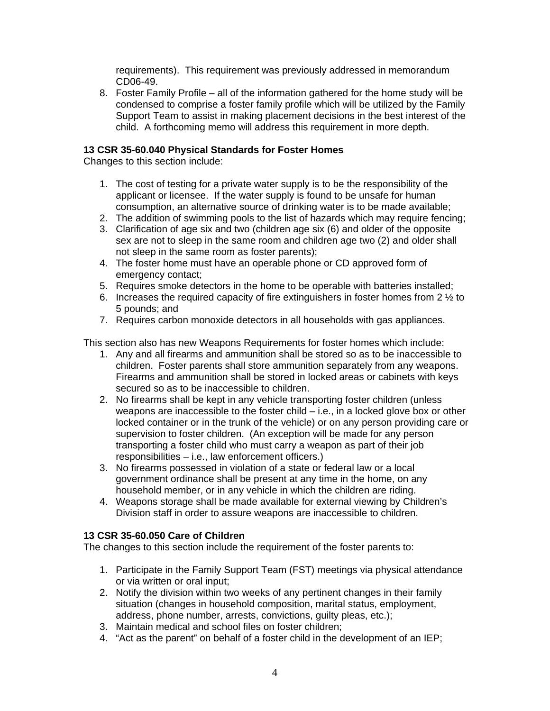requirements). This requirement was previously addressed in memorandum CD06-49.

8. Foster Family Profile – all of the information gathered for the home study will be condensed to comprise a foster family profile which will be utilized by the Family Support Team to assist in making placement decisions in the best interest of the child. A forthcoming memo will address this requirement in more depth.

#### **13 CSR 35-60.040 Physical Standards for Foster Homes**

Changes to this section include:

- 1. The cost of testing for a private water supply is to be the responsibility of the applicant or licensee. If the water supply is found to be unsafe for human consumption, an alternative source of drinking water is to be made available;
- 2. The addition of swimming pools to the list of hazards which may require fencing;
- 3. Clarification of age six and two (children age six (6) and older of the opposite sex are not to sleep in the same room and children age two (2) and older shall not sleep in the same room as foster parents);
- 4. The foster home must have an operable phone or CD approved form of emergency contact;
- 5. Requires smoke detectors in the home to be operable with batteries installed;
- 6. Increases the required capacity of fire extinguishers in foster homes from 2  $\frac{1}{2}$  to 5 pounds; and
- 7. Requires carbon monoxide detectors in all households with gas appliances.

This section also has new Weapons Requirements for foster homes which include:

- 1. Any and all firearms and ammunition shall be stored so as to be inaccessible to children. Foster parents shall store ammunition separately from any weapons. Firearms and ammunition shall be stored in locked areas or cabinets with keys secured so as to be inaccessible to children.
- 2. No firearms shall be kept in any vehicle transporting foster children (unless weapons are inaccessible to the foster child – i.e., in a locked glove box or other locked container or in the trunk of the vehicle) or on any person providing care or supervision to foster children. (An exception will be made for any person transporting a foster child who must carry a weapon as part of their job responsibilities – i.e., law enforcement officers.)
- 3. No firearms possessed in violation of a state or federal law or a local government ordinance shall be present at any time in the home, on any household member, or in any vehicle in which the children are riding.
- 4. Weapons storage shall be made available for external viewing by Children's Division staff in order to assure weapons are inaccessible to children.

## **13 CSR 35-60.050 Care of Children**

The changes to this section include the requirement of the foster parents to:

- 1. Participate in the Family Support Team (FST) meetings via physical attendance or via written or oral input;
- 2. Notify the division within two weeks of any pertinent changes in their family situation (changes in household composition, marital status, employment, address, phone number, arrests, convictions, guilty pleas, etc.);
- 3. Maintain medical and school files on foster children;
- 4. "Act as the parent" on behalf of a foster child in the development of an IEP;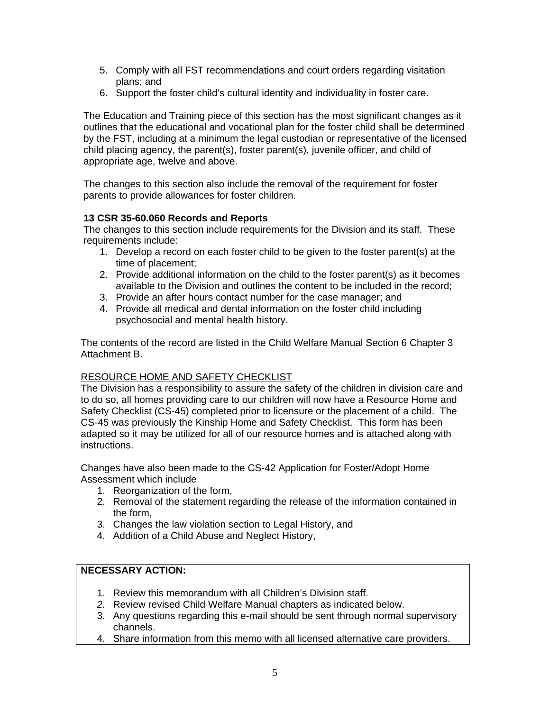- 5. Comply with all FST recommendations and court orders regarding visitation plans; and
- 6. Support the foster child's cultural identity and individuality in foster care.

The Education and Training piece of this section has the most significant changes as it outlines that the educational and vocational plan for the foster child shall be determined by the FST, including at a minimum the legal custodian or representative of the licensed child placing agency, the parent(s), foster parent(s), juvenile officer, and child of appropriate age, twelve and above.

The changes to this section also include the removal of the requirement for foster parents to provide allowances for foster children.

## **13 CSR 35-60.060 Records and Reports**

The changes to this section include requirements for the Division and its staff. These requirements include:

- 1. Develop a record on each foster child to be given to the foster parent(s) at the time of placement;
- 2. Provide additional information on the child to the foster parent(s) as it becomes available to the Division and outlines the content to be included in the record;
- 3. Provide an after hours contact number for the case manager; and
- 4. Provide all medical and dental information on the foster child including psychosocial and mental health history.

The contents of the record are listed in the Child Welfare Manual Section 6 Chapter 3 Attachment B.

## RESOURCE HOME AND SAFETY CHECKLIST

The Division has a responsibility to assure the safety of the children in division care and to do so, all homes providing care to our children will now have a Resource Home and Safety Checklist (CS-45) completed prior to licensure or the placement of a child. The CS-45 was previously the Kinship Home and Safety Checklist. This form has been adapted so it may be utilized for all of our resource homes and is attached along with instructions.

Changes have also been made to the CS-42 Application for Foster/Adopt Home Assessment which include

- 1. Reorganization of the form,
- 2. Removal of the statement regarding the release of the information contained in the form,
- 3. Changes the law violation section to Legal History, and
- 4. Addition of a Child Abuse and Neglect History,

## **NECESSARY ACTION:**

- 1. Review this memorandum with all Children's Division staff.
- *2.* Review revised Child Welfare Manual chapters as indicated below.
- 3. Any questions regarding this e-mail should be sent through normal supervisory channels.
- 4. Share information from this memo with all licensed alternative care providers.